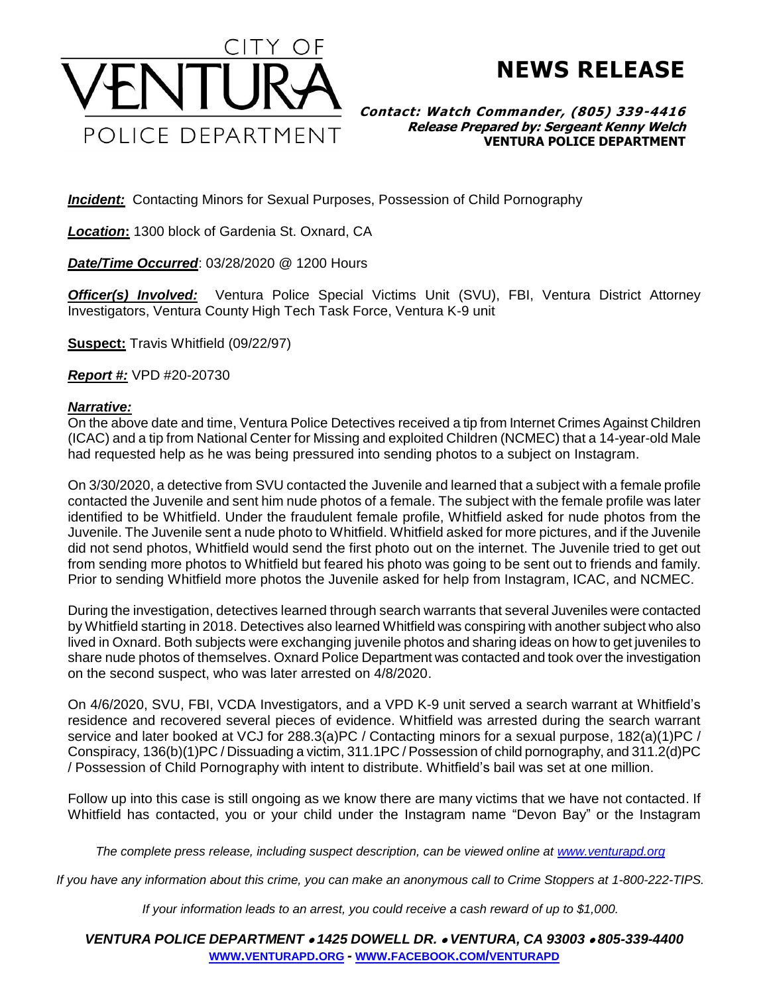

**NEWS RELEASE**

## **Contact: Watch Commander, (805) 339-4416 Release Prepared by: Sergeant Kenny Welch VENTURA POLICE DEPARTMENT**

*Incident:* Contacting Minors for Sexual Purposes, Possession of Child Pornography

*Location***:** 1300 block of Gardenia St. Oxnard, CA

*Date/Time Occurred*: 03/28/2020 @ 1200 Hours

*Officer(s) Involved:* Ventura Police Special Victims Unit (SVU), FBI, Ventura District Attorney Investigators, Ventura County High Tech Task Force, Ventura K-9 unit

**Suspect:** Travis Whitfield (09/22/97)

*Report #:* VPD #20-20730

## *Narrative:*

On the above date and time, Ventura Police Detectives received a tip from Internet Crimes Against Children (ICAC) and a tip from National Center for Missing and exploited Children (NCMEC) that a 14-year-old Male had requested help as he was being pressured into sending photos to a subject on Instagram.

On 3/30/2020, a detective from SVU contacted the Juvenile and learned that a subject with a female profile contacted the Juvenile and sent him nude photos of a female. The subject with the female profile was later identified to be Whitfield. Under the fraudulent female profile, Whitfield asked for nude photos from the Juvenile. The Juvenile sent a nude photo to Whitfield. Whitfield asked for more pictures, and if the Juvenile did not send photos, Whitfield would send the first photo out on the internet. The Juvenile tried to get out from sending more photos to Whitfield but feared his photo was going to be sent out to friends and family. Prior to sending Whitfield more photos the Juvenile asked for help from Instagram, ICAC, and NCMEC.

During the investigation, detectives learned through search warrants that several Juveniles were contacted by Whitfield starting in 2018. Detectives also learned Whitfield was conspiring with another subject who also lived in Oxnard. Both subjects were exchanging juvenile photos and sharing ideas on how to get juveniles to share nude photos of themselves. Oxnard Police Department was contacted and took over the investigation on the second suspect, who was later arrested on 4/8/2020.

On 4/6/2020, SVU, FBI, VCDA Investigators, and a VPD K-9 unit served a search warrant at Whitfield's residence and recovered several pieces of evidence. Whitfield was arrested during the search warrant service and later booked at VCJ for 288.3(a)PC / Contacting minors for a sexual purpose, 182(a)(1)PC / Conspiracy, 136(b)(1)PC / Dissuading a victim, 311.1PC / Possession of child pornography, and 311.2(d)PC / Possession of Child Pornography with intent to distribute. Whitfield's bail was set at one million.

Follow up into this case is still ongoing as we know there are many victims that we have not contacted. If Whitfield has contacted, you or your child under the Instagram name "Devon Bay" or the Instagram

*The complete press release, including suspect description, can be viewed online at [www.venturapd.org](http://www.venturapd.org/)*

*If you have any information about this crime, you can make an anonymous call to Crime Stoppers at 1-800-222-TIPS.*

*If your information leads to an arrest, you could receive a cash reward of up to \$1,000.*

*VENTURA POLICE DEPARTMENT* • *1425 DOWELL DR.* • *VENTURA, CA 93003* • *805-339-4400* **WWW.[VENTURAPD](http://www.venturapd.org/).ORG** *-* **WWW.FACEBOOK.COM/[VENTURAPD](http://www.facebook.com/venturapd)**